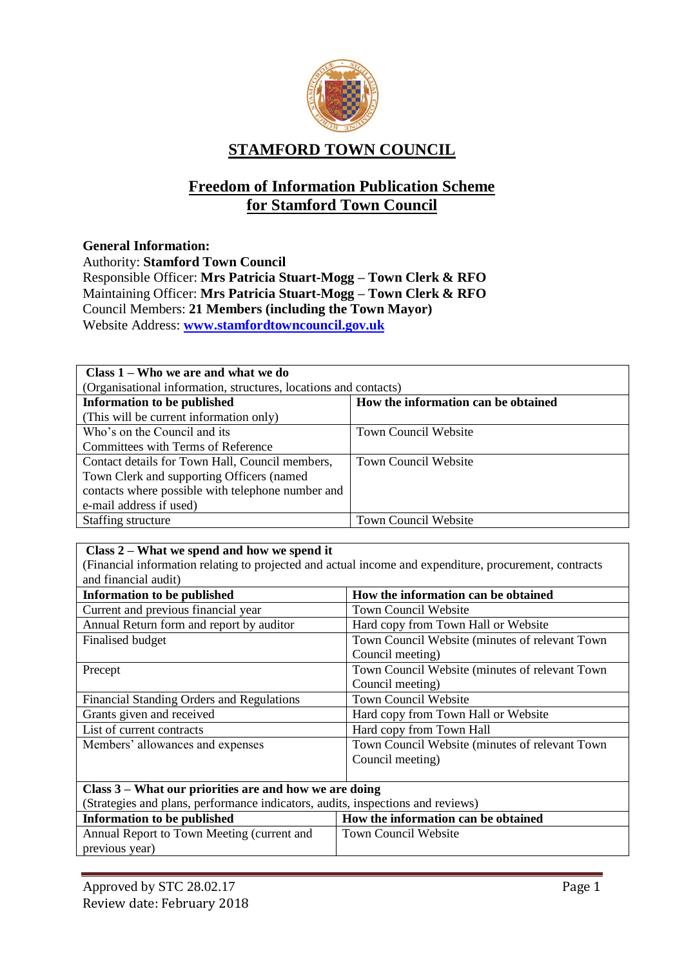

# **STAMFORD TOWN COUNCIL**

# **Freedom of Information Publication Scheme for Stamford Town Council**

## **General Information:**

Authority: **Stamford Town Council** Responsible Officer: **Mrs Patricia Stuart-Mogg – Town Clerk & RFO** Maintaining Officer: **Mrs Patricia Stuart-Mogg – Town Clerk & RFO** Council Members: **21 Members (including the Town Mayor)** Website Address: **[www.stamfordtowncouncil.gov.uk](http://www.stamfordtowncouncil.gov.uk/)**

| Class $1 -$ Who we are and what we do                            |                                     |  |
|------------------------------------------------------------------|-------------------------------------|--|
| (Organisational information, structures, locations and contacts) |                                     |  |
| Information to be published                                      | How the information can be obtained |  |
| (This will be current information only)                          |                                     |  |
| Who's on the Council and its                                     | Town Council Website                |  |
| Committees with Terms of Reference                               |                                     |  |
| Contact details for Town Hall, Council members,                  | <b>Town Council Website</b>         |  |
| Town Clerk and supporting Officers (named                        |                                     |  |
| contacts where possible with telephone number and                |                                     |  |
| e-mail address if used)                                          |                                     |  |
| Staffing structure                                               | <b>Town Council Website</b>         |  |

#### **Class 2 – What we spend and how we spend it**

(Financial information relating to projected and actual income and expenditure, procurement, contracts and financial audit)

| Information to be published                                                     | How the information can be obtained            |  |
|---------------------------------------------------------------------------------|------------------------------------------------|--|
| Current and previous financial year                                             | <b>Town Council Website</b>                    |  |
| Annual Return form and report by auditor                                        | Hard copy from Town Hall or Website            |  |
| Finalised budget                                                                | Town Council Website (minutes of relevant Town |  |
|                                                                                 | Council meeting)                               |  |
| Precept                                                                         | Town Council Website (minutes of relevant Town |  |
|                                                                                 | Council meeting)                               |  |
| Financial Standing Orders and Regulations                                       | <b>Town Council Website</b>                    |  |
| Grants given and received                                                       | Hard copy from Town Hall or Website            |  |
| List of current contracts                                                       | Hard copy from Town Hall                       |  |
| Members' allowances and expenses                                                | Town Council Website (minutes of relevant Town |  |
|                                                                                 | Council meeting)                               |  |
|                                                                                 |                                                |  |
| Class 3 – What our priorities are and how we are doing                          |                                                |  |
| (Strategies and plans, performance indicators, audits, inspections and reviews) |                                                |  |
| Information to be published                                                     | How the information can be obtained            |  |
| Annual Report to Town Meeting (current and                                      | <b>Town Council Website</b>                    |  |
| previous year)                                                                  |                                                |  |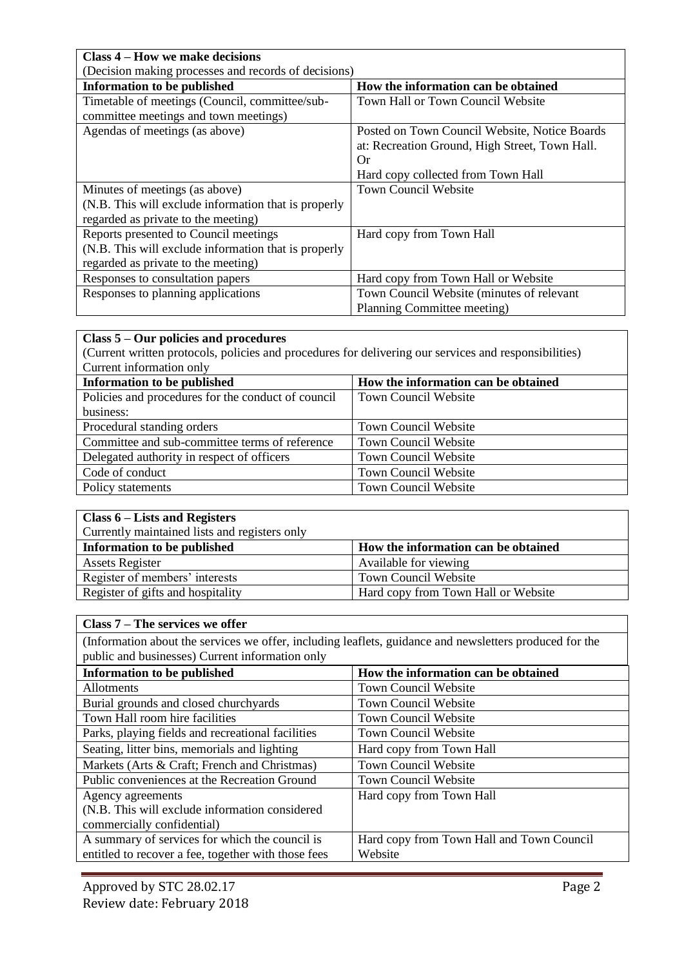| Class 4 – How we make decisions                      |                                                |
|------------------------------------------------------|------------------------------------------------|
| (Decision making processes and records of decisions) |                                                |
| Information to be published                          | How the information can be obtained            |
| Timetable of meetings (Council, committee/sub-       | Town Hall or Town Council Website              |
| committee meetings and town meetings)                |                                                |
| Agendas of meetings (as above)                       | Posted on Town Council Website, Notice Boards  |
|                                                      | at: Recreation Ground, High Street, Town Hall. |
|                                                      | Or                                             |
|                                                      | Hard copy collected from Town Hall             |
| Minutes of meetings (as above)                       | <b>Town Council Website</b>                    |
| (N.B. This will exclude information that is properly |                                                |
| regarded as private to the meeting)                  |                                                |
| Reports presented to Council meetings                | Hard copy from Town Hall                       |
| (N.B. This will exclude information that is properly |                                                |
| regarded as private to the meeting)                  |                                                |
| Responses to consultation papers                     | Hard copy from Town Hall or Website            |
| Responses to planning applications                   | Town Council Website (minutes of relevant      |
|                                                      | Planning Committee meeting)                    |

### **Class 5 – Our policies and procedures**

(Current written protocols, policies and procedures for delivering our services and responsibilities) Current information only

| Information to be published                        | How the information can be obtained |
|----------------------------------------------------|-------------------------------------|
| Policies and procedures for the conduct of council | <b>Town Council Website</b>         |
| business:                                          |                                     |
| Procedural standing orders                         | <b>Town Council Website</b>         |
| Committee and sub-committee terms of reference     | <b>Town Council Website</b>         |
| Delegated authority in respect of officers         | <b>Town Council Website</b>         |
| Code of conduct                                    | <b>Town Council Website</b>         |
| Policy statements                                  | <b>Town Council Website</b>         |

| Class $6$ – Lists and Registers               |                                     |
|-----------------------------------------------|-------------------------------------|
| Currently maintained lists and registers only |                                     |
| Information to be published                   | How the information can be obtained |
| <b>Assets Register</b>                        | Available for viewing               |
| Register of members' interests                | <b>Town Council Website</b>         |
| Register of gifts and hospitality             | Hard copy from Town Hall or Website |

#### **Class 7 – The services we offer**

(Information about the services we offer, including leaflets, guidance and newsletters produced for the public and businesses) Current information only

| Information to be published                         | How the information can be obtained       |
|-----------------------------------------------------|-------------------------------------------|
| Allotments                                          | <b>Town Council Website</b>               |
| Burial grounds and closed churchyards               | <b>Town Council Website</b>               |
| Town Hall room hire facilities                      | <b>Town Council Website</b>               |
| Parks, playing fields and recreational facilities   | <b>Town Council Website</b>               |
| Seating, litter bins, memorials and lighting        | Hard copy from Town Hall                  |
| Markets (Arts & Craft; French and Christmas)        | Town Council Website                      |
| Public conveniences at the Recreation Ground        | <b>Town Council Website</b>               |
| Agency agreements                                   | Hard copy from Town Hall                  |
| (N.B. This will exclude information considered      |                                           |
| commercially confidential)                          |                                           |
| A summary of services for which the council is      | Hard copy from Town Hall and Town Council |
| entitled to recover a fee, together with those fees | Website                                   |